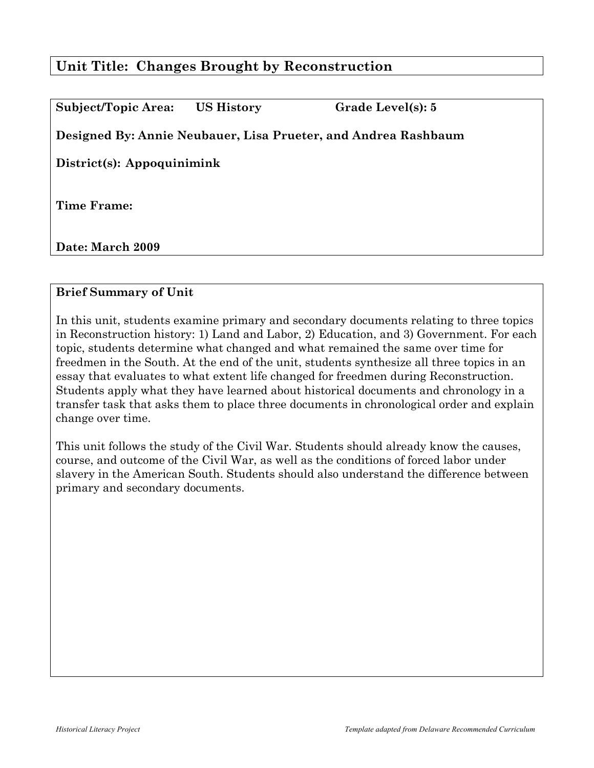# **Unit Title: Changes Brought by Reconstruction**

| Subject/Topic Area:        | <b>US History</b> | Grade Level(s): 5                                              |
|----------------------------|-------------------|----------------------------------------------------------------|
|                            |                   | Designed By: Annie Neubauer, Lisa Prueter, and Andrea Rashbaum |
| District(s): Appoquinimink |                   |                                                                |
| Time Frame:                |                   |                                                                |
| Date: March 2009           |                   |                                                                |

## **Brief Summary of Unit**

In this unit, students examine primary and secondary documents relating to three topics in Reconstruction history: 1) Land and Labor, 2) Education, and 3) Government. For each topic, students determine what changed and what remained the same over time for freedmen in the South. At the end of the unit, students synthesize all three topics in an essay that evaluates to what extent life changed for freedmen during Reconstruction. Students apply what they have learned about historical documents and chronology in a transfer task that asks them to place three documents in chronological order and explain change over time.

This unit follows the study of the Civil War. Students should already know the causes, course, and outcome of the Civil War, as well as the conditions of forced labor under slavery in the American South. Students should also understand the difference between primary and secondary documents.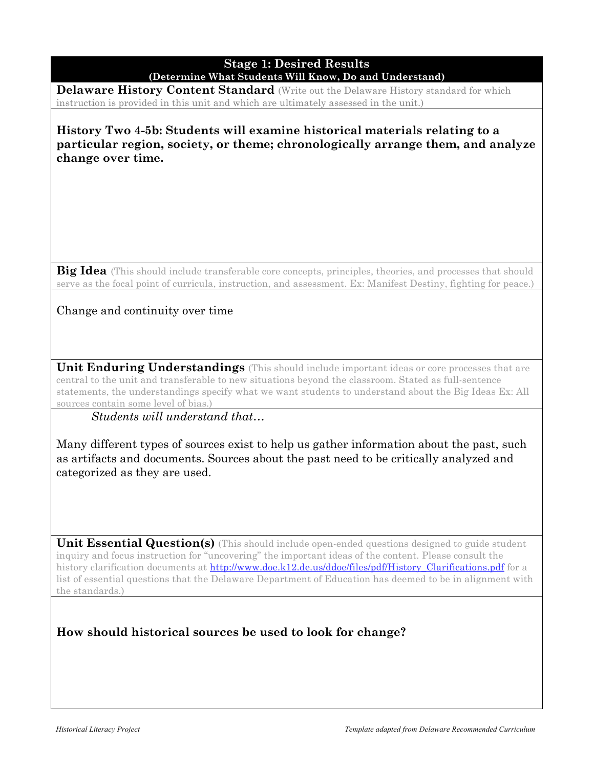#### **Stage 1: Desired Results (Determine What Students Will Know, Do and Understand)**

**Delaware History Content Standard** (Write out the Delaware History standard for which instruction is provided in this unit and which are ultimately assessed in the unit.)

**History Two 4-5b: Students will examine historical materials relating to a particular region, society, or theme; chronologically arrange them, and analyze change over time.**

**Big Idea** (This should include transferable core concepts, principles, theories, and processes that should serve as the focal point of curricula, instruction, and assessment. Ex: Manifest Destiny, fighting for peace.)

Change and continuity over time

**Unit Enduring Understandings** (This should include important ideas or core processes that are central to the unit and transferable to new situations beyond the classroom. Stated as full-sentence statements, the understandings specify what we want students to understand about the Big Ideas Ex: All sources contain some level of bias.)

*Students will understand that…*

Many different types of sources exist to help us gather information about the past, such as artifacts and documents. Sources about the past need to be critically analyzed and categorized as they are used.

**Unit Essential Question(s)** (This should include open-ended questions designed to guide student inquiry and focus instruction for "uncovering" the important ideas of the content. Please consult the history clarification documents at http://www.doe.k12.de.us/ddoe/files/pdf/History\_Clarifications.pdf for a list of essential questions that the Delaware Department of Education has deemed to be in alignment with the standards.)

**How should historical sources be used to look for change?**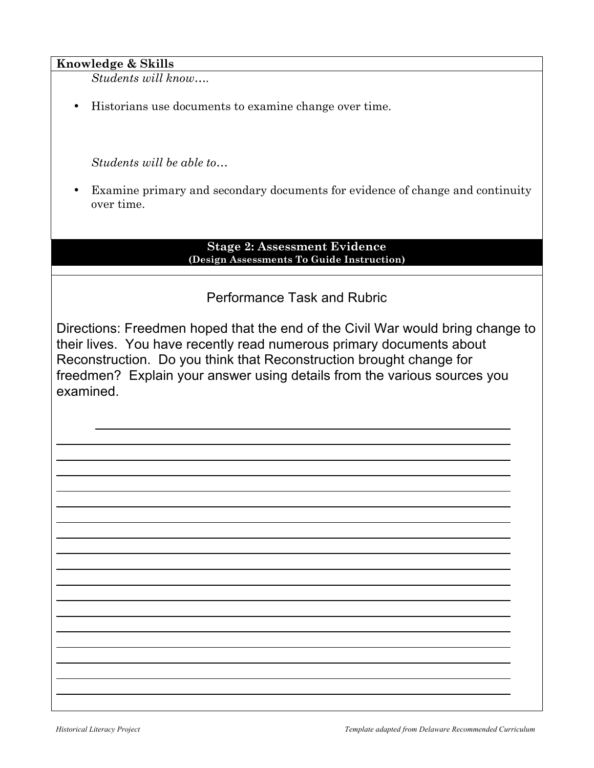### **Knowledge & Skills**

*Students will know….*

• Historians use documents to examine change over time.

*Students will be able to…*

• Examine primary and secondary documents for evidence of change and continuity over time.

#### **Stage 2: Assessment Evidence (Design Assessments To Guide Instruction)**

# Performance Task and Rubric

Directions: Freedmen hoped that the end of the Civil War would bring change to their lives. You have recently read numerous primary documents about Reconstruction. Do you think that Reconstruction brought change for freedmen? Explain your answer using details from the various sources you examined.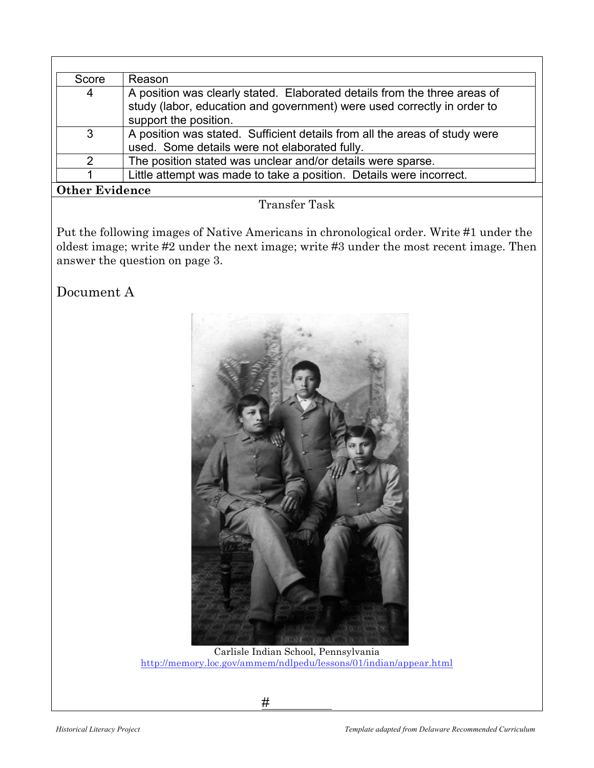| Score                 | Reason                                                                                                                                                                        |  |
|-----------------------|-------------------------------------------------------------------------------------------------------------------------------------------------------------------------------|--|
| 4                     | A position was clearly stated. Elaborated details from the three areas of<br>study (labor, education and government) were used correctly in order to<br>support the position. |  |
| $\mathbf{3}$          | A position was stated. Sufficient details from all the areas of study were<br>used. Some details were not elaborated fully.                                                   |  |
| $\mathcal{P}$         | The position stated was unclear and/or details were sparse.                                                                                                                   |  |
|                       | Little attempt was made to take a position. Details were incorrect.                                                                                                           |  |
| <b>Other Evidence</b> |                                                                                                                                                                               |  |

# Transfer Task

Put the following images of Native Americans in chronological order. Write #1 under the oldest image; write #2 under the next image; write #3 under the most recent image. Then answer the question on page 3.

Document A



 Carlisle Indian School, Pennsylvania http://memory.loc.gov/ammem/ndlpedu/lessons/01/indian/appear.html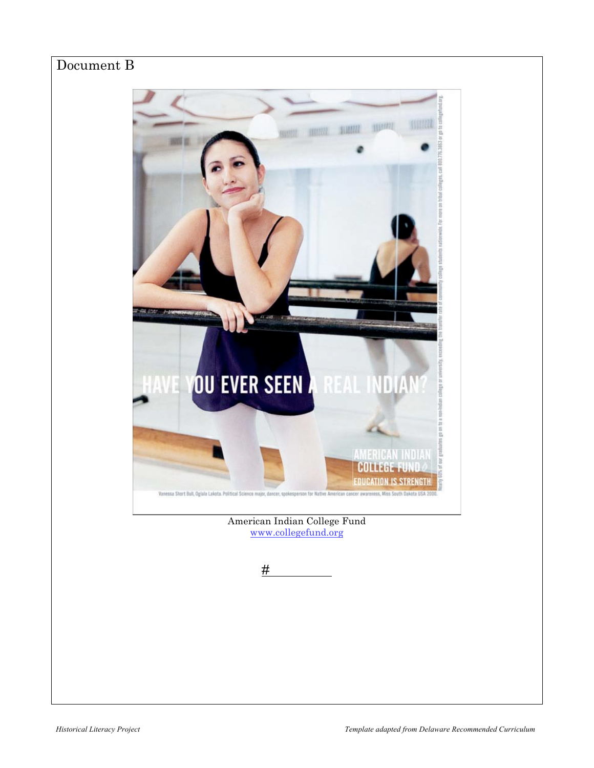# Document B

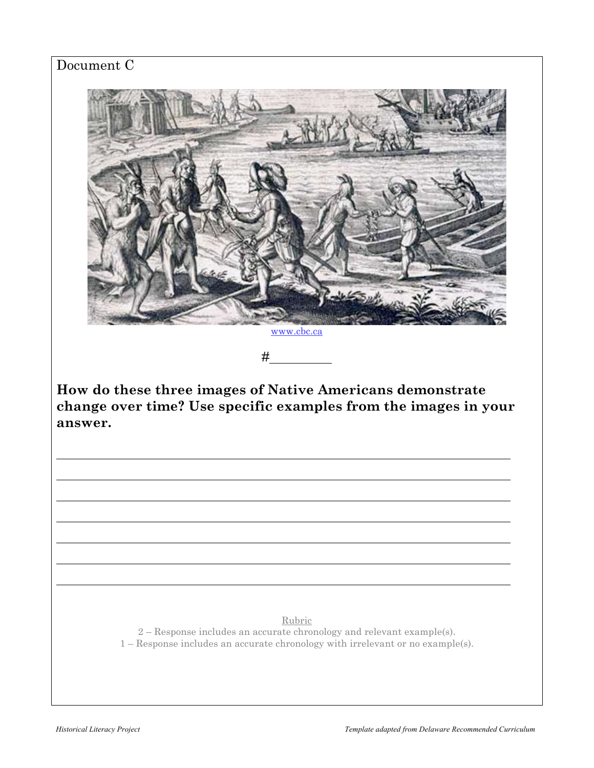# Document C



 $#$ 

**How do these three images of Native Americans demonstrate change over time? Use specific examples from the images in your answer.**

#### Rubric

2 – Response includes an accurate chronology and relevant example(s).

1 – Response includes an accurate chronology with irrelevant or no example(s).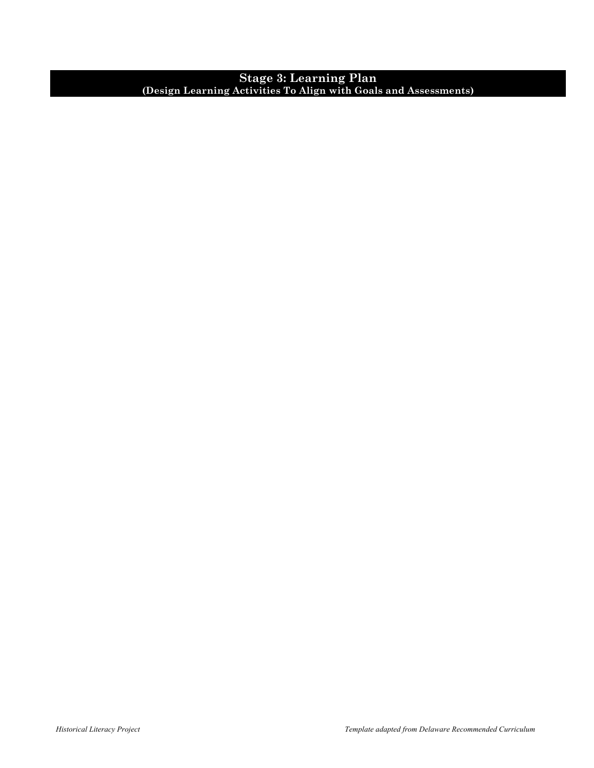#### **Stage 3: Learning Plan (Design Learning Activities To Align with Goals and Assessments)**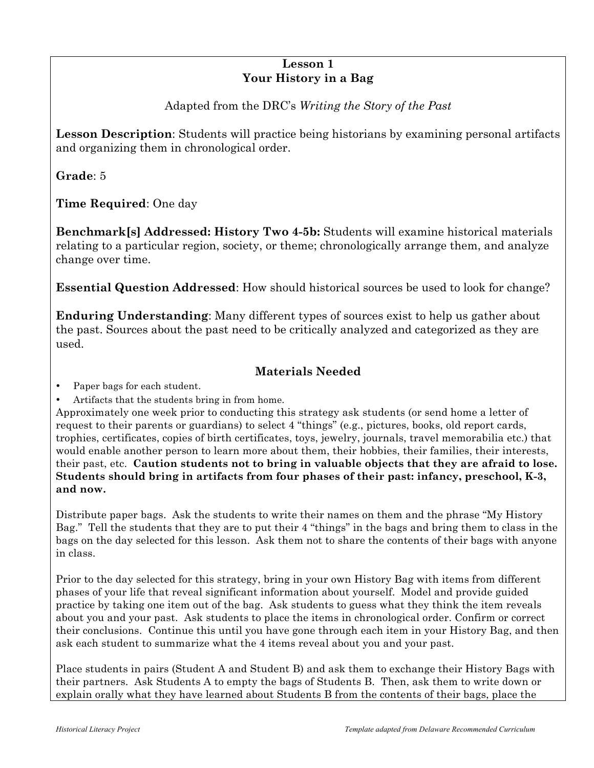## **Lesson 1 Your History in a Bag**

# Adapted from the DRC's *Writing the Story of the Past*

**Lesson Description**: Students will practice being historians by examining personal artifacts and organizing them in chronological order.

**Grade**: 5

**Time Required**: One day

**Benchmark[s] Addressed: History Two 4-5b:** Students will examine historical materials relating to a particular region, society, or theme; chronologically arrange them, and analyze change over time.

**Essential Question Addressed**: How should historical sources be used to look for change?

**Enduring Understanding**: Many different types of sources exist to help us gather about the past. Sources about the past need to be critically analyzed and categorized as they are used.

# **Materials Needed**

Paper bags for each student.

• Artifacts that the students bring in from home.

Approximately one week prior to conducting this strategy ask students (or send home a letter of request to their parents or guardians) to select 4 "things" (e.g., pictures, books, old report cards, trophies, certificates, copies of birth certificates, toys, jewelry, journals, travel memorabilia etc.) that would enable another person to learn more about them, their hobbies, their families, their interests, their past, etc. **Caution students not to bring in valuable objects that they are afraid to lose. Students should bring in artifacts from four phases of their past: infancy, preschool, K-3, and now.**

Distribute paper bags. Ask the students to write their names on them and the phrase "My History Bag." Tell the students that they are to put their 4 "things" in the bags and bring them to class in the bags on the day selected for this lesson. Ask them not to share the contents of their bags with anyone in class.

Prior to the day selected for this strategy, bring in your own History Bag with items from different phases of your life that reveal significant information about yourself. Model and provide guided practice by taking one item out of the bag. Ask students to guess what they think the item reveals about you and your past. Ask students to place the items in chronological order. Confirm or correct their conclusions. Continue this until you have gone through each item in your History Bag, and then ask each student to summarize what the 4 items reveal about you and your past.

Place students in pairs (Student A and Student B) and ask them to exchange their History Bags with their partners. Ask Students A to empty the bags of Students B. Then, ask them to write down or explain orally what they have learned about Students B from the contents of their bags, place the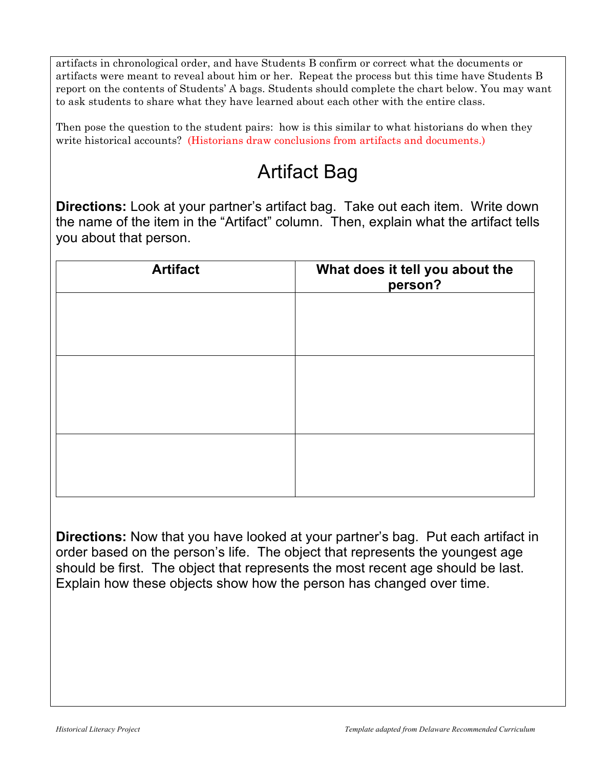artifacts in chronological order, and have Students B confirm or correct what the documents or artifacts were meant to reveal about him or her. Repeat the process but this time have Students B report on the contents of Students' A bags. Students should complete the chart below. You may want to ask students to share what they have learned about each other with the entire class.

Then pose the question to the student pairs: how is this similar to what historians do when they write historical accounts? (Historians draw conclusions from artifacts and documents.)

# Artifact Bag

**Directions:** Look at your partner's artifact bag. Take out each item. Write down the name of the item in the "Artifact" column. Then, explain what the artifact tells you about that person.

| <b>Artifact</b> | What does it tell you about the<br>person? |
|-----------------|--------------------------------------------|
|                 |                                            |
|                 |                                            |
|                 |                                            |
|                 |                                            |
|                 |                                            |
|                 |                                            |

**Directions:** Now that you have looked at your partner's bag. Put each artifact in order based on the person's life. The object that represents the youngest age should be first. The object that represents the most recent age should be last. Explain how these objects show how the person has changed over time.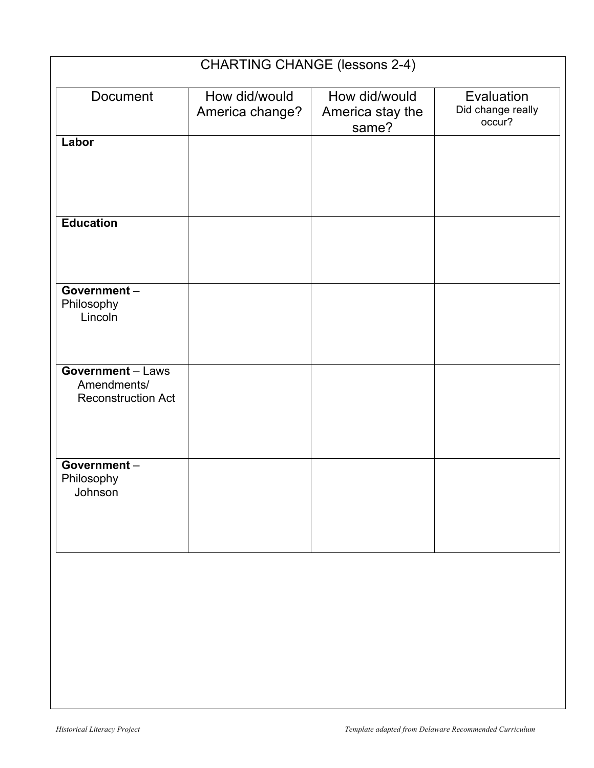|                                                                      | <b>CHARTING CHANGE (lessons 2-4)</b> |                                            |                                           |
|----------------------------------------------------------------------|--------------------------------------|--------------------------------------------|-------------------------------------------|
| Document                                                             | How did/would<br>America change?     | How did/would<br>America stay the<br>same? | Evaluation<br>Did change really<br>occur? |
| Labor                                                                |                                      |                                            |                                           |
| <b>Education</b>                                                     |                                      |                                            |                                           |
| Government-<br>Philosophy<br>Lincoln                                 |                                      |                                            |                                           |
| <b>Government</b> - Laws<br>Amendments/<br><b>Reconstruction Act</b> |                                      |                                            |                                           |
| Government-<br>Philosophy<br>Johnson                                 |                                      |                                            |                                           |
|                                                                      |                                      |                                            |                                           |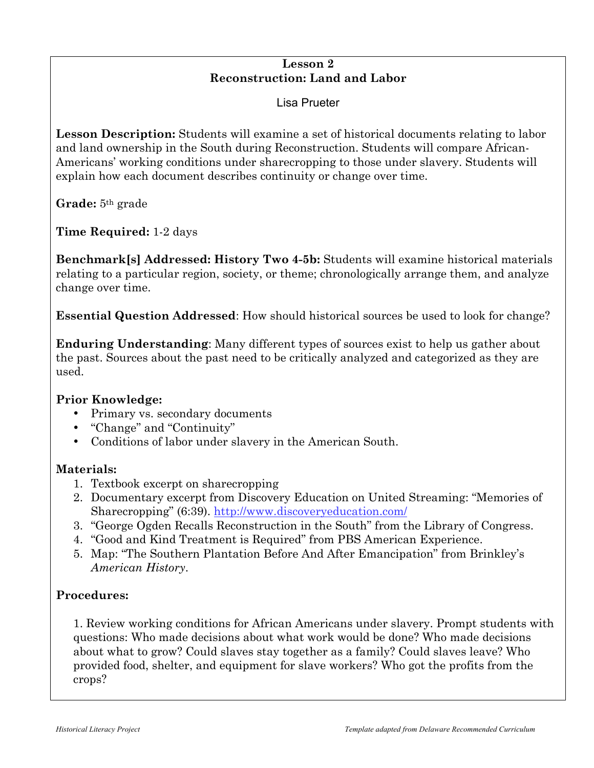## **Lesson 2 Reconstruction: Land and Labor**

Lisa Prueter

**Lesson Description:** Students will examine a set of historical documents relating to labor and land ownership in the South during Reconstruction. Students will compare African-Americans' working conditions under sharecropping to those under slavery. Students will explain how each document describes continuity or change over time.

**Grade:** 5th grade

**Time Required:** 1-2 days

**Benchmark[s] Addressed: History Two 4-5b:** Students will examine historical materials relating to a particular region, society, or theme; chronologically arrange them, and analyze change over time.

**Essential Question Addressed**: How should historical sources be used to look for change?

**Enduring Understanding**: Many different types of sources exist to help us gather about the past. Sources about the past need to be critically analyzed and categorized as they are used.

## **Prior Knowledge:**

- Primary vs. secondary documents
- "Change" and "Continuity"
- Conditions of labor under slavery in the American South.

## **Materials:**

- 1. Textbook excerpt on sharecropping
- 2. Documentary excerpt from Discovery Education on United Streaming: "Memories of Sharecropping" (6:39). http://www.discoveryeducation.com/
- 3. "George Ogden Recalls Reconstruction in the South" from the Library of Congress.
- 4. "Good and Kind Treatment is Required" from PBS American Experience.
- 5. Map: "The Southern Plantation Before And After Emancipation" from Brinkley's *American History*.

## **Procedures:**

1. Review working conditions for African Americans under slavery. Prompt students with questions: Who made decisions about what work would be done? Who made decisions about what to grow? Could slaves stay together as a family? Could slaves leave? Who provided food, shelter, and equipment for slave workers? Who got the profits from the crops?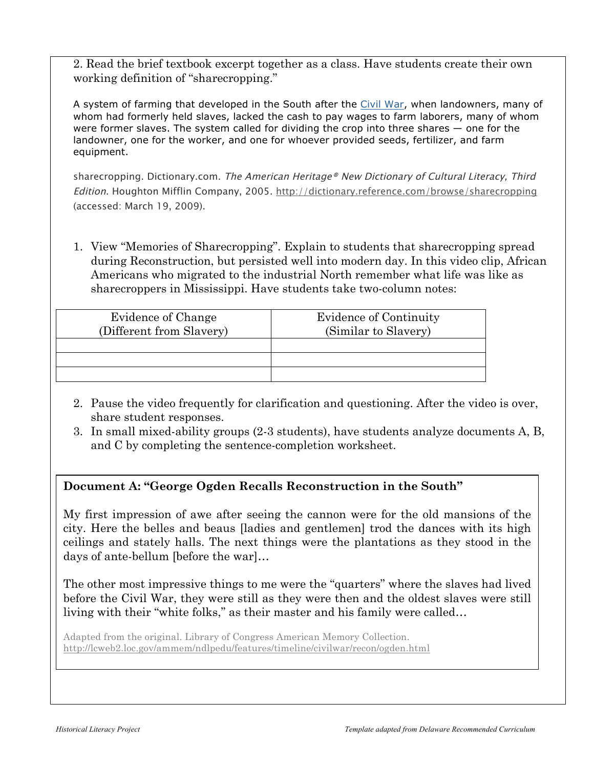2. Read the brief textbook excerpt together as a class. Have students create their own working definition of "sharecropping."

A system of farming that developed in the South after the Civil War, when landowners, many of whom had formerly held slaves, lacked the cash to pay wages to farm laborers, many of whom were former slaves. The system called for dividing the crop into three shares — one for the landowner, one for the worker, and one for whoever provided seeds, fertilizer, and farm equipment.

sharecropping. Dictionary.com. The American Heritage® New Dictionary of Cultural Literacy, Third Edition. Houghton Mifflin Company, 2005. http://dictionary.reference.com/browse/sharecropping (accessed: March 19, 2009).

1. View "Memories of Sharecropping". Explain to students that sharecropping spread during Reconstruction, but persisted well into modern day. In this video clip, African Americans who migrated to the industrial North remember what life was like as sharecroppers in Mississippi. Have students take two-column notes:

| Evidence of Change<br>(Different from Slavery) | Evidence of Continuity<br>(Similar to Slavery) |
|------------------------------------------------|------------------------------------------------|
|                                                |                                                |
|                                                |                                                |
|                                                |                                                |

- 2. Pause the video frequently for clarification and questioning. After the video is over, share student responses.
- 3. In small mixed-ability groups (2-3 students), have students analyze documents A, B, and C by completing the sentence-completion worksheet.

# **Document A: "George Ogden Recalls Reconstruction in the South"**

My first impression of awe after seeing the cannon were for the old mansions of the city. Here the belles and beaus [ladies and gentlemen] trod the dances with its high ceilings and stately halls. The next things were the plantations as they stood in the days of ante-bellum [before the war]…

The other most impressive things to me were the "quarters" where the slaves had lived before the Civil War, they were still as they were then and the oldest slaves were still living with their "white folks," as their master and his family were called…

Adapted from the original. Library of Congress American Memory Collection. http://lcweb2.loc.gov/ammem/ndlpedu/features/timeline/civilwar/recon/ogden.html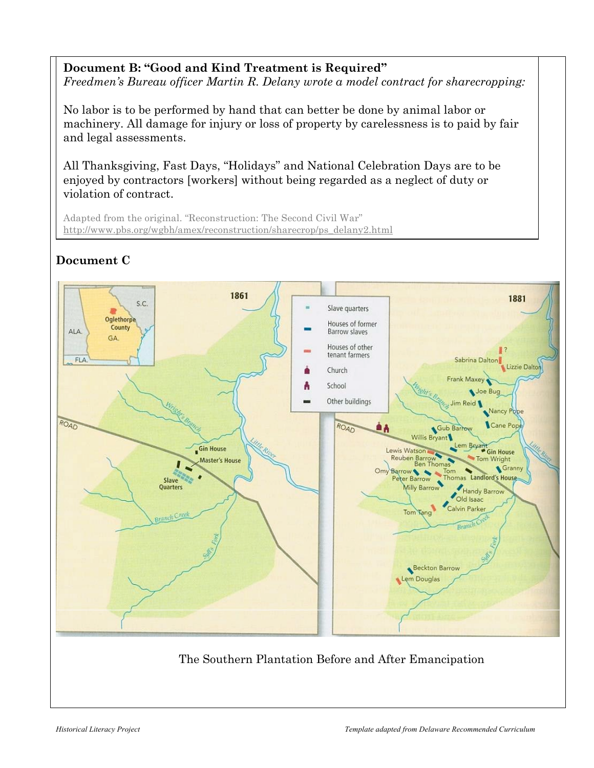# **Document B: "Good and Kind Treatment is Required"**

*Freedmen's Bureau officer Martin R. Delany wrote a model contract for sharecropping:*

No labor is to be performed by hand that can better be done by animal labor or machinery. All damage for injury or loss of property by carelessness is to paid by fair and legal assessments.

All Thanksgiving, Fast Days, "Holidays" and National Celebration Days are to be enjoyed by contractors [workers] without being regarded as a neglect of duty or violation of contract.

Adapted from the original. "Reconstruction: The Second Civil War" http://www.pbs.org/wgbh/amex/reconstruction/sharecrop/ps\_delany2.html



# **Document C**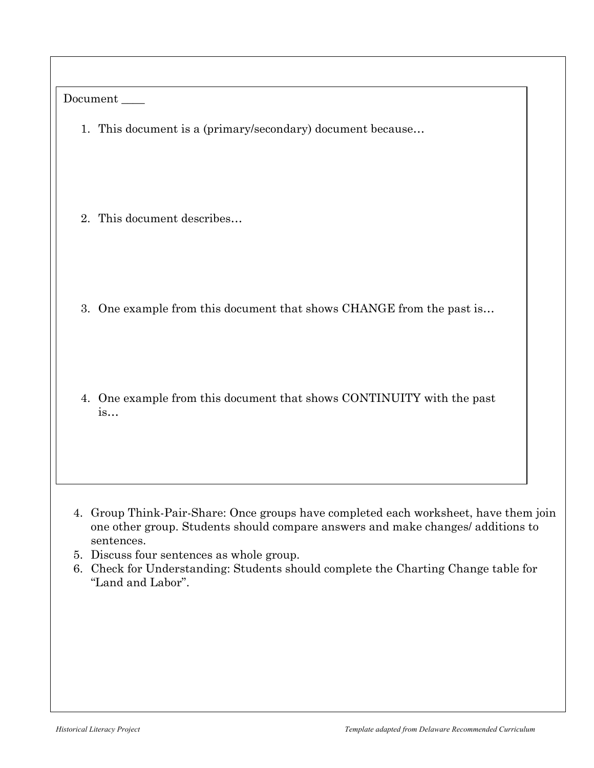| Document                                                                                                                                                                                                                                                                                                                                      |
|-----------------------------------------------------------------------------------------------------------------------------------------------------------------------------------------------------------------------------------------------------------------------------------------------------------------------------------------------|
| 1. This document is a (primary/secondary) document because                                                                                                                                                                                                                                                                                    |
| 2. This document describes                                                                                                                                                                                                                                                                                                                    |
| 3. One example from this document that shows CHANGE from the past is                                                                                                                                                                                                                                                                          |
| 4. One example from this document that shows CONTINUITY with the past<br>is                                                                                                                                                                                                                                                                   |
| 4. Group Think-Pair-Share: Once groups have completed each worksheet, have them join<br>one other group. Students should compare answers and make changes/ additions to<br>sentences.<br>5. Discuss four sentences as whole group.<br>6. Check for Understanding: Students should complete the Charting Change table for<br>"Land and Labor". |
|                                                                                                                                                                                                                                                                                                                                               |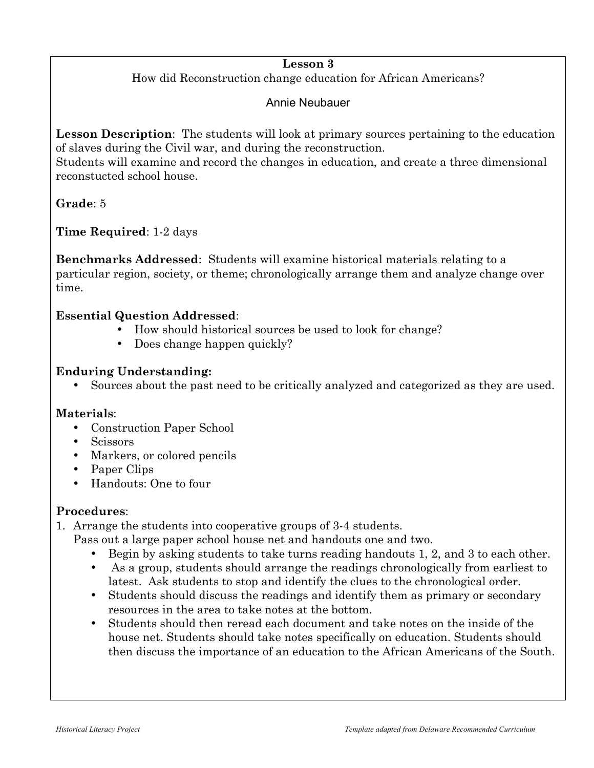## **Lesson 3**

How did Reconstruction change education for African Americans?

# Annie Neubauer

**Lesson Description**: The students will look at primary sources pertaining to the education of slaves during the Civil war, and during the reconstruction.

Students will examine and record the changes in education, and create a three dimensional reconstucted school house.

# **Grade**: 5

**Time Required**: 1-2 days

**Benchmarks Addressed**: Students will examine historical materials relating to a particular region, society, or theme; chronologically arrange them and analyze change over time.

## **Essential Question Addressed**:

- How should historical sources be used to look for change?
- Does change happen quickly?

## **Enduring Understanding:**

• Sources about the past need to be critically analyzed and categorized as they are used.

## **Materials**:

- Construction Paper School
- Scissors
- Markers, or colored pencils
- Paper Clips
- Handouts: One to four

## **Procedures**:

1. Arrange the students into cooperative groups of 3-4 students.

- Pass out a large paper school house net and handouts one and two.
	- Begin by asking students to take turns reading handouts 1, 2, and 3 to each other.
	- As a group, students should arrange the readings chronologically from earliest to latest. Ask students to stop and identify the clues to the chronological order.
	- Students should discuss the readings and identify them as primary or secondary resources in the area to take notes at the bottom.
	- Students should then reread each document and take notes on the inside of the house net. Students should take notes specifically on education. Students should then discuss the importance of an education to the African Americans of the South.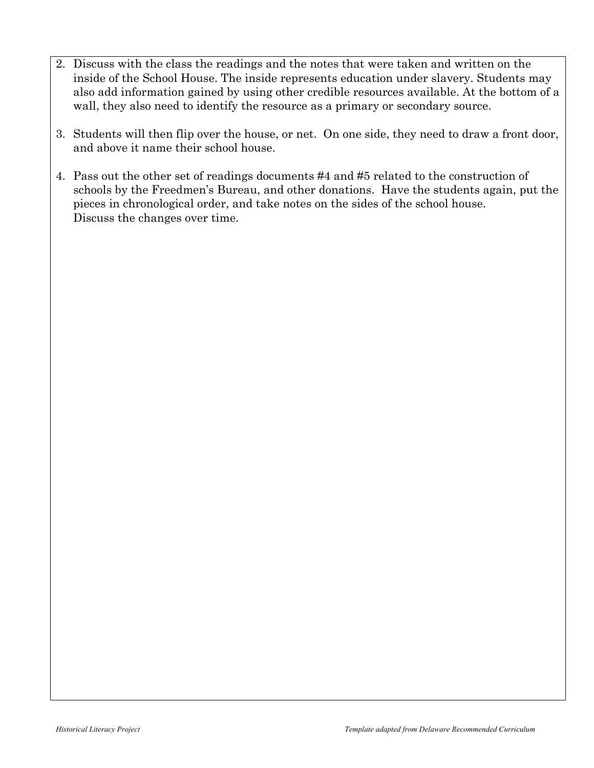- 2. Discuss with the class the readings and the notes that were taken and written on the inside of the School House. The inside represents education under slavery. Students may also add information gained by using other credible resources available. At the bottom of a wall, they also need to identify the resource as a primary or secondary source.
- 3. Students will then flip over the house, or net. On one side, they need to draw a front door, and above it name their school house.
- 4. Pass out the other set of readings documents #4 and #5 related to the construction of schools by the Freedmen's Bureau, and other donations. Have the students again, put the pieces in chronological order, and take notes on the sides of the school house. Discuss the changes over time.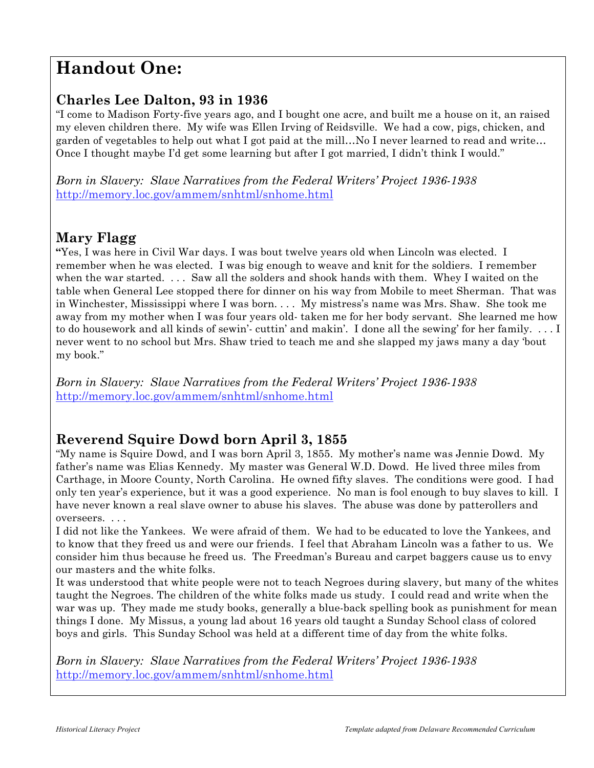# **Handout One:**

# **Charles Lee Dalton, 93 in 1936**

"I come to Madison Forty-five years ago, and I bought one acre, and built me a house on it, an raised my eleven children there. My wife was Ellen Irving of Reidsville. We had a cow, pigs, chicken, and garden of vegetables to help out what I got paid at the mill…No I never learned to read and write… Once I thought maybe I'd get some learning but after I got married, I didn't think I would."

*Born in Slavery: Slave Narratives from the Federal Writers' Project 1936-1938* http://memory.loc.gov/ammem/snhtml/snhome.html

# **Mary Flagg**

**"**Yes, I was here in Civil War days. I was bout twelve years old when Lincoln was elected. I remember when he was elected. I was big enough to weave and knit for the soldiers. I remember when the war started. . . . Saw all the solders and shook hands with them. Whey I waited on the table when General Lee stopped there for dinner on his way from Mobile to meet Sherman. That was in Winchester, Mississippi where I was born. . . . My mistress's name was Mrs. Shaw. She took me away from my mother when I was four years old- taken me for her body servant. She learned me how to do housework and all kinds of sewin'- cuttin' and makin'. I done all the sewing' for her family. . . . I never went to no school but Mrs. Shaw tried to teach me and she slapped my jaws many a day 'bout my book."

*Born in Slavery: Slave Narratives from the Federal Writers' Project 1936-1938* http://memory.loc.gov/ammem/snhtml/snhome.html

# **Reverend Squire Dowd born April 3, 1855**

"My name is Squire Dowd, and I was born April 3, 1855. My mother's name was Jennie Dowd. My father's name was Elias Kennedy. My master was General W.D. Dowd. He lived three miles from Carthage, in Moore County, North Carolina. He owned fifty slaves. The conditions were good. I had only ten year's experience, but it was a good experience. No man is fool enough to buy slaves to kill. I have never known a real slave owner to abuse his slaves. The abuse was done by patterollers and overseers. . . .

I did not like the Yankees. We were afraid of them. We had to be educated to love the Yankees, and to know that they freed us and were our friends. I feel that Abraham Lincoln was a father to us. We consider him thus because he freed us. The Freedman's Bureau and carpet baggers cause us to envy our masters and the white folks.

It was understood that white people were not to teach Negroes during slavery, but many of the whites taught the Negroes. The children of the white folks made us study. I could read and write when the war was up. They made me study books, generally a blue-back spelling book as punishment for mean things I done. My Missus, a young lad about 16 years old taught a Sunday School class of colored boys and girls. This Sunday School was held at a different time of day from the white folks.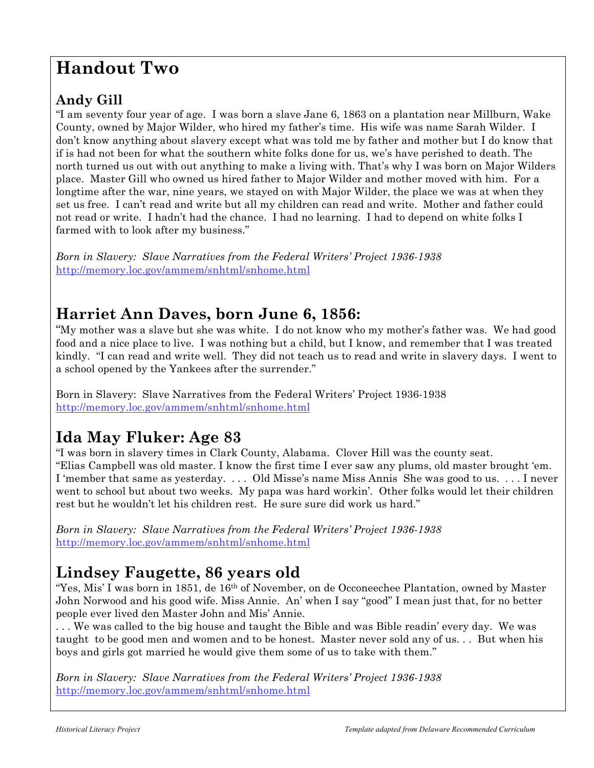# **Handout Two**

# **Andy Gill**

"I am seventy four year of age. I was born a slave Jane 6, 1863 on a plantation near Millburn, Wake County, owned by Major Wilder, who hired my father's time. His wife was name Sarah Wilder. I don't know anything about slavery except what was told me by father and mother but I do know that if is had not been for what the southern white folks done for us, we's have perished to death. The north turned us out with out anything to make a living with. That's why I was born on Major Wilders place. Master Gill who owned us hired father to Major Wilder and mother moved with him. For a longtime after the war, nine years, we stayed on with Major Wilder, the place we was at when they set us free. I can't read and write but all my children can read and write. Mother and father could not read or write. I hadn't had the chance. I had no learning. I had to depend on white folks I farmed with to look after my business."

*Born in Slavery: Slave Narratives from the Federal Writers' Project 1936-1938* http://memory.loc.gov/ammem/snhtml/snhome.html

# **Harriet Ann Daves, born June 6, 1856:**

"My mother was a slave but she was white. I do not know who my mother's father was. We had good food and a nice place to live. I was nothing but a child, but I know, and remember that I was treated kindly. "I can read and write well. They did not teach us to read and write in slavery days. I went to a school opened by the Yankees after the surrender."

Born in Slavery: Slave Narratives from the Federal Writers' Project 1936-1938 http://memory.loc.gov/ammem/snhtml/snhome.html

# **Ida May Fluker: Age 83**

"I was born in slavery times in Clark County, Alabama. Clover Hill was the county seat. "Elias Campbell was old master. I know the first time I ever saw any plums, old master brought 'em. I 'member that same as yesterday. . . . Old Misse's name Miss Annis She was good to us. . . . I never went to school but about two weeks. My papa was hard workin'. Other folks would let their children rest but he wouldn't let his children rest. He sure sure did work us hard."

*Born in Slavery: Slave Narratives from the Federal Writers' Project 1936-1938* http://memory.loc.gov/ammem/snhtml/snhome.html

# **Lindsey Faugette, 86 years old**

"Yes, Mis' I was born in 1851, de  $16<sup>th</sup>$  of November, on de Occoneechee Plantation, owned by Master John Norwood and his good wife. Miss Annie. An' when I say "good" I mean just that, for no better people ever lived den Master John and Mis' Annie.

. . . We was called to the big house and taught the Bible and was Bible readin' every day. We was taught to be good men and women and to be honest. Master never sold any of us. . . But when his boys and girls got married he would give them some of us to take with them."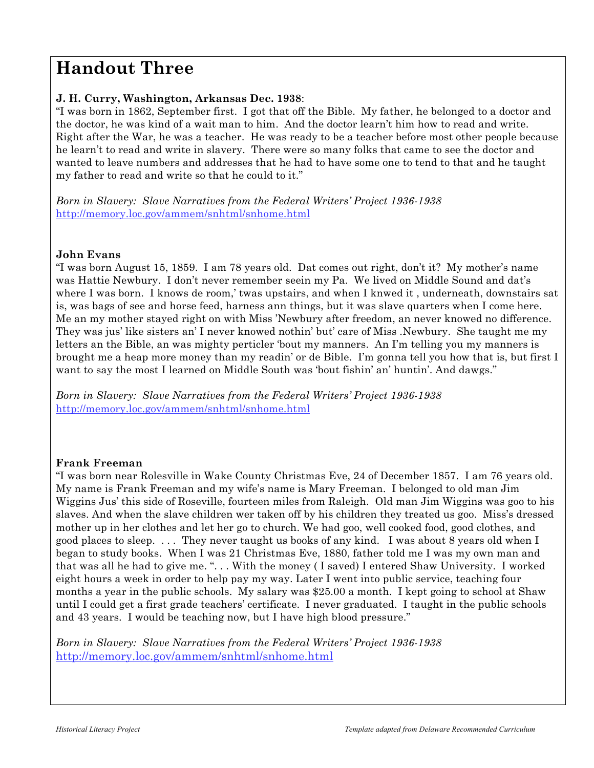# **Handout Three**

### **J. H. Curry, Washington, Arkansas Dec. 1938**:

"I was born in 1862, September first. I got that off the Bible. My father, he belonged to a doctor and the doctor, he was kind of a wait man to him. And the doctor learn't him how to read and write. Right after the War, he was a teacher. He was ready to be a teacher before most other people because he learn't to read and write in slavery. There were so many folks that came to see the doctor and wanted to leave numbers and addresses that he had to have some one to tend to that and he taught my father to read and write so that he could to it."

*Born in Slavery: Slave Narratives from the Federal Writers' Project 1936-1938* http://memory.loc.gov/ammem/snhtml/snhome.html

## **John Evans**

"I was born August 15, 1859. I am 78 years old. Dat comes out right, don't it? My mother's name was Hattie Newbury. I don't never remember seein my Pa. We lived on Middle Sound and dat's where I was born. I knows de room,' twas upstairs, and when I knwed it , underneath, downstairs sat is, was bags of see and horse feed, harness ann things, but it was slave quarters when I come here. Me an my mother stayed right on with Miss 'Newbury after freedom, an never knowed no difference. They was jus' like sisters an' I never knowed nothin' but' care of Miss .Newbury. She taught me my letters an the Bible, an was mighty perticler 'bout my manners. An I'm telling you my manners is brought me a heap more money than my readin' or de Bible. I'm gonna tell you how that is, but first I want to say the most I learned on Middle South was 'bout fishin' an' huntin'. And dawgs."

*Born in Slavery: Slave Narratives from the Federal Writers' Project 1936-1938* http://memory.loc.gov/ammem/snhtml/snhome.html

## **Frank Freeman**

"I was born near Rolesville in Wake County Christmas Eve, 24 of December 1857. I am 76 years old. My name is Frank Freeman and my wife's name is Mary Freeman. I belonged to old man Jim Wiggins Jus' this side of Roseville, fourteen miles from Raleigh. Old man Jim Wiggins was goo to his slaves. And when the slave children wer taken off by his children they treated us goo. Miss's dressed mother up in her clothes and let her go to church. We had goo, well cooked food, good clothes, and good places to sleep. . . . They never taught us books of any kind. I was about 8 years old when I began to study books. When I was 21 Christmas Eve, 1880, father told me I was my own man and that was all he had to give me. ". . . With the money ( I saved) I entered Shaw University. I worked eight hours a week in order to help pay my way. Later I went into public service, teaching four months a year in the public schools. My salary was \$25.00 a month. I kept going to school at Shaw until I could get a first grade teachers' certificate. I never graduated. I taught in the public schools and 43 years. I would be teaching now, but I have high blood pressure."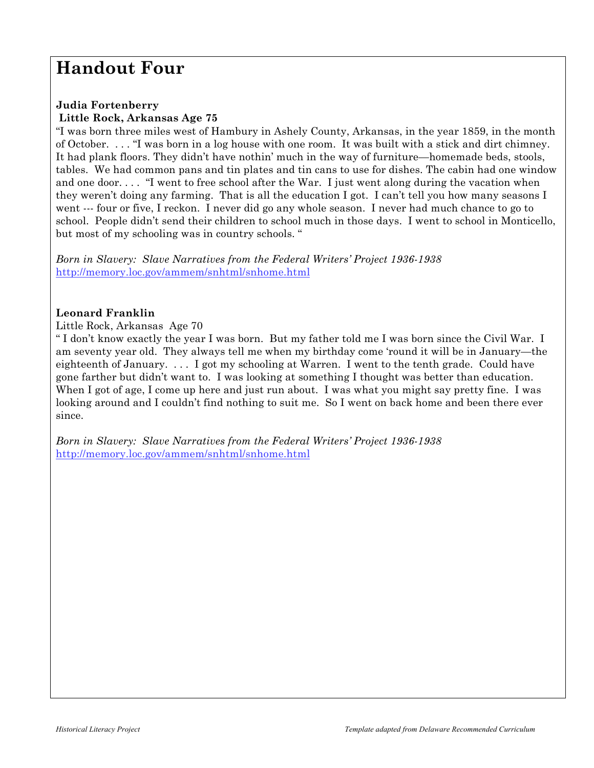# **Handout Four**

#### **Judia Fortenberry Little Rock, Arkansas Age 75**

"I was born three miles west of Hambury in Ashely County, Arkansas, in the year 1859, in the month of October. . . . "I was born in a log house with one room. It was built with a stick and dirt chimney. It had plank floors. They didn't have nothin' much in the way of furniture—homemade beds, stools, tables. We had common pans and tin plates and tin cans to use for dishes. The cabin had one window and one door. . . . "I went to free school after the War. I just went along during the vacation when they weren't doing any farming. That is all the education I got. I can't tell you how many seasons I went --- four or five, I reckon. I never did go any whole season. I never had much chance to go to school. People didn't send their children to school much in those days. I went to school in Monticello, but most of my schooling was in country schools. "

*Born in Slavery: Slave Narratives from the Federal Writers' Project 1936-1938* http://memory.loc.gov/ammem/snhtml/snhome.html

### **Leonard Franklin**

Little Rock, Arkansas Age 70

" I don't know exactly the year I was born. But my father told me I was born since the Civil War. I am seventy year old. They always tell me when my birthday come 'round it will be in January—the eighteenth of January. . . . I got my schooling at Warren. I went to the tenth grade. Could have gone farther but didn't want to. I was looking at something I thought was better than education. When I got of age, I come up here and just run about. I was what you might say pretty fine. I was looking around and I couldn't find nothing to suit me. So I went on back home and been there ever since.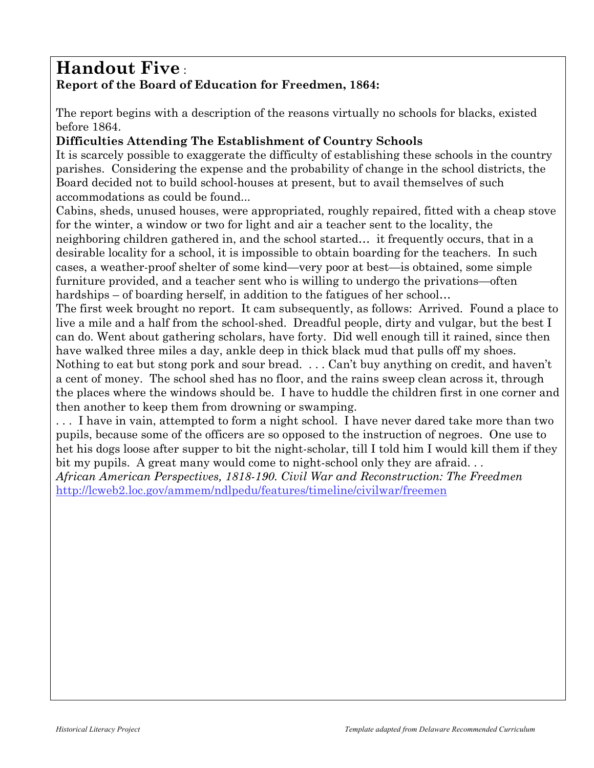# **Handout Five** : **Report of the Board of Education for Freedmen, 1864:**

The report begins with a description of the reasons virtually no schools for blacks, existed before 1864.

# **Difficulties Attending The Establishment of Country Schools**

It is scarcely possible to exaggerate the difficulty of establishing these schools in the country parishes. Considering the expense and the probability of change in the school districts, the Board decided not to build school-houses at present, but to avail themselves of such accommodations as could be found...

Cabins, sheds, unused houses, were appropriated, roughly repaired, fitted with a cheap stove for the winter, a window or two for light and air a teacher sent to the locality, the neighboring children gathered in, and the school started… it frequently occurs, that in a desirable locality for a school, it is impossible to obtain boarding for the teachers. In such cases, a weather-proof shelter of some kind—very poor at best—is obtained, some simple furniture provided, and a teacher sent who is willing to undergo the privations—often hardships – of boarding herself, in addition to the fatigues of her school...

The first week brought no report. It cam subsequently, as follows: Arrived. Found a place to live a mile and a half from the school-shed. Dreadful people, dirty and vulgar, but the best I can do. Went about gathering scholars, have forty. Did well enough till it rained, since then have walked three miles a day, ankle deep in thick black mud that pulls off my shoes. Nothing to eat but stong pork and sour bread. . . . Can't buy anything on credit, and haven't a cent of money. The school shed has no floor, and the rains sweep clean across it, through the places where the windows should be. I have to huddle the children first in one corner and then another to keep them from drowning or swamping.

. . . I have in vain, attempted to form a night school. I have never dared take more than two pupils, because some of the officers are so opposed to the instruction of negroes. One use to het his dogs loose after supper to bit the night-scholar, till I told him I would kill them if they bit my pupils. A great many would come to night-school only they are afraid. . .

*African American Perspectives, 1818-190. Civil War and Reconstruction: The Freedmen* http://lcweb2.loc.gov/ammem/ndlpedu/features/timeline/civilwar/freemen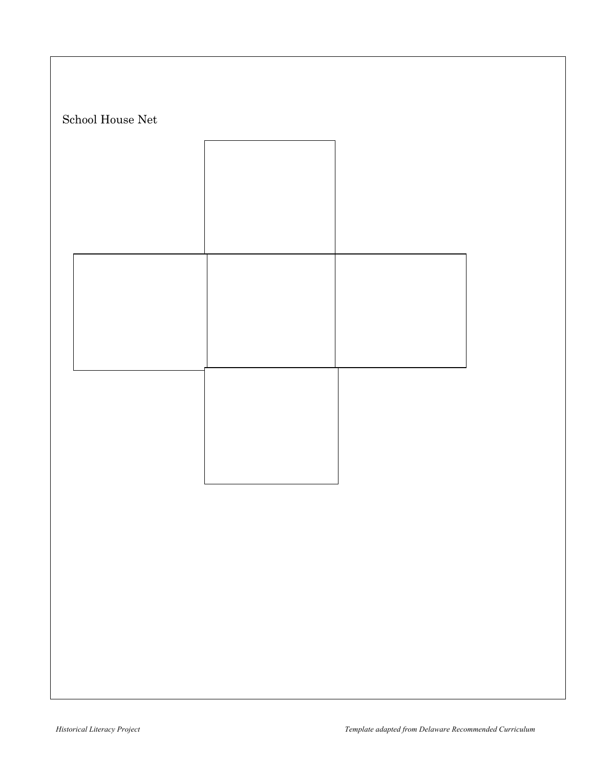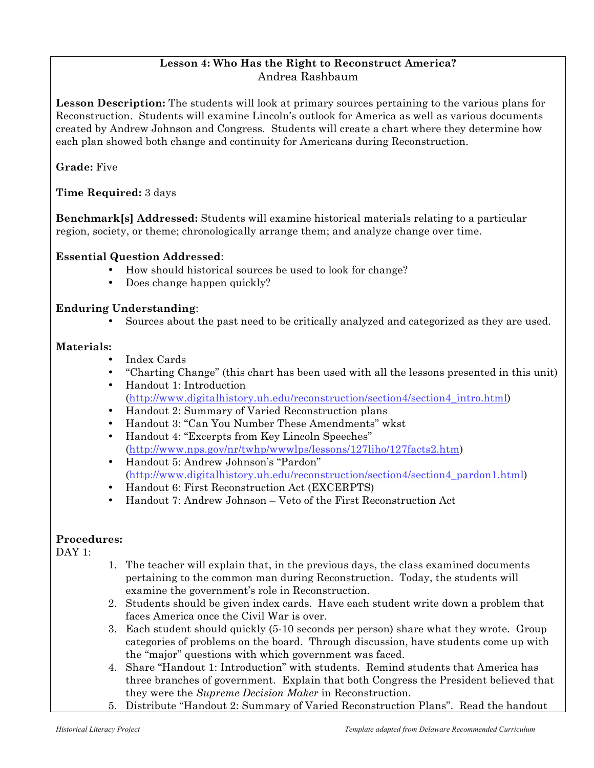## **Lesson 4: Who Has the Right to Reconstruct America?** Andrea Rashbaum

**Lesson Description:** The students will look at primary sources pertaining to the various plans for Reconstruction. Students will examine Lincoln's outlook for America as well as various documents created by Andrew Johnson and Congress. Students will create a chart where they determine how each plan showed both change and continuity for Americans during Reconstruction.

## **Grade:** Five

**Time Required:** 3 days

**Benchmark[s] Addressed:** Students will examine historical materials relating to a particular region, society, or theme; chronologically arrange them; and analyze change over time.

#### **Essential Question Addressed**:

- How should historical sources be used to look for change?
- Does change happen quickly?

### **Enduring Understanding**:

• Sources about the past need to be critically analyzed and categorized as they are used.

### **Materials:**

- Index Cards
- "Charting Change" (this chart has been used with all the lessons presented in this unit)
- Handout 1: Introduction (http://www.digitalhistory.uh.edu/reconstruction/section4/section4\_intro.html)
- Handout 2: Summary of Varied Reconstruction plans
- Handout 3: "Can You Number These Amendments" wkst
- Handout 4: "Excerpts from Key Lincoln Speeches" (http://www.nps.gov/nr/twhp/wwwlps/lessons/127liho/127facts2.htm)
- Handout 5: Andrew Johnson's "Pardon" (http://www.digitalhistory.uh.edu/reconstruction/section4/section4\_pardon1.html)
- Handout 6: First Reconstruction Act (EXCERPTS)
- Handout 7: Andrew Johnson Veto of the First Reconstruction Act

## **Procedures:**

DAY 1:

- 1. The teacher will explain that, in the previous days, the class examined documents pertaining to the common man during Reconstruction. Today, the students will examine the government's role in Reconstruction.
- 2. Students should be given index cards. Have each student write down a problem that faces America once the Civil War is over.
- 3. Each student should quickly (5-10 seconds per person) share what they wrote. Group categories of problems on the board. Through discussion, have students come up with the "major" questions with which government was faced.
- 4. Share "Handout 1: Introduction" with students. Remind students that America has three branches of government. Explain that both Congress the President believed that they were the *Supreme Decision Maker* in Reconstruction.
- 5. Distribute "Handout 2: Summary of Varied Reconstruction Plans". Read the handout